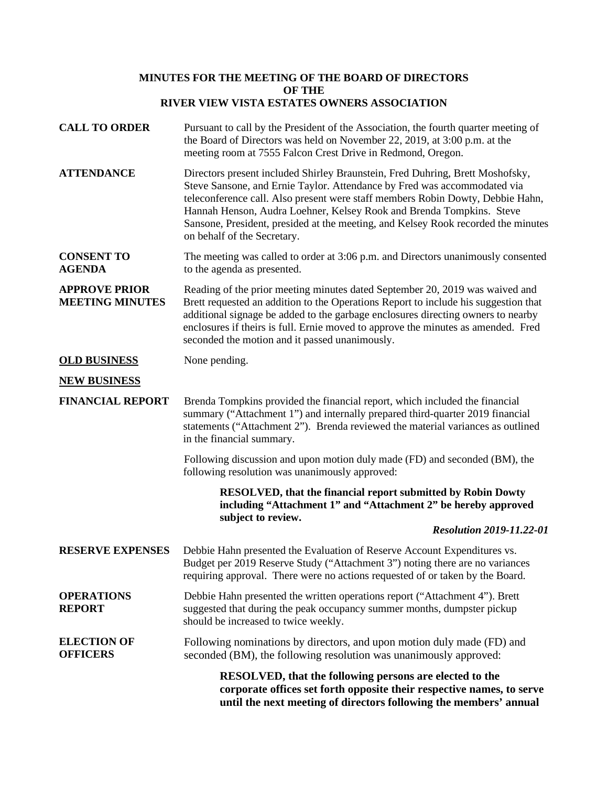## **MINUTES FOR THE MEETING OF THE BOARD OF DIRECTORS OF THE RIVER VIEW VISTA ESTATES OWNERS ASSOCIATION**

**CALL TO ORDER** Pursuant to call by the President of the Association, the fourth quarter meeting of the Board of Directors was held on November 22, 2019, at 3:00 p.m. at the meeting room at 7555 Falcon Crest Drive in Redmond, Oregon. **ATTENDANCE** Directors present included Shirley Braunstein, Fred Duhring, Brett Moshofsky, Steve Sansone, and Ernie Taylor. Attendance by Fred was accommodated via teleconference call. Also present were staff members Robin Dowty, Debbie Hahn, Hannah Henson, Audra Loehner, Kelsey Rook and Brenda Tompkins. Steve Sansone, President, presided at the meeting, and Kelsey Rook recorded the minutes on behalf of the Secretary. **CONSENT TO AGENDA** The meeting was called to order at 3:06 p.m. and Directors unanimously consented to the agenda as presented. **APPROVE PRIOR MEETING MINUTES** Reading of the prior meeting minutes dated September 20, 2019 was waived and Brett requested an addition to the Operations Report to include his suggestion that additional signage be added to the garbage enclosures directing owners to nearby enclosures if theirs is full. Ernie moved to approve the minutes as amended. Fred seconded the motion and it passed unanimously. **OLD BUSINESS** None pending. **NEW BUSINESS FINANCIAL REPORT** Brenda Tompkins provided the financial report, which included the financial summary ("Attachment 1") and internally prepared third-quarter 2019 financial statements ("Attachment 2"). Brenda reviewed the material variances as outlined in the financial summary. Following discussion and upon motion duly made (FD) and seconded (BM), the following resolution was unanimously approved: **RESOLVED, that the financial report submitted by Robin Dowty including "Attachment 1" and "Attachment 2" be hereby approved subject to review.** *Resolution 2019-11.22-01* **RESERVE EXPENSES** Debbie Hahn presented the Evaluation of Reserve Account Expenditures vs. Budget per 2019 Reserve Study ("Attachment 3") noting there are no variances requiring approval. There were no actions requested of or taken by the Board. **OPERATIONS REPORT** Debbie Hahn presented the written operations report ("Attachment 4"). Brett suggested that during the peak occupancy summer months, dumpster pickup should be increased to twice weekly. **ELECTION OF OFFICERS** Following nominations by directors, and upon motion duly made (FD) and seconded (BM), the following resolution was unanimously approved: **RESOLVED, that the following persons are elected to the corporate offices set forth opposite their respective names, to serve until the next meeting of directors following the members' annual**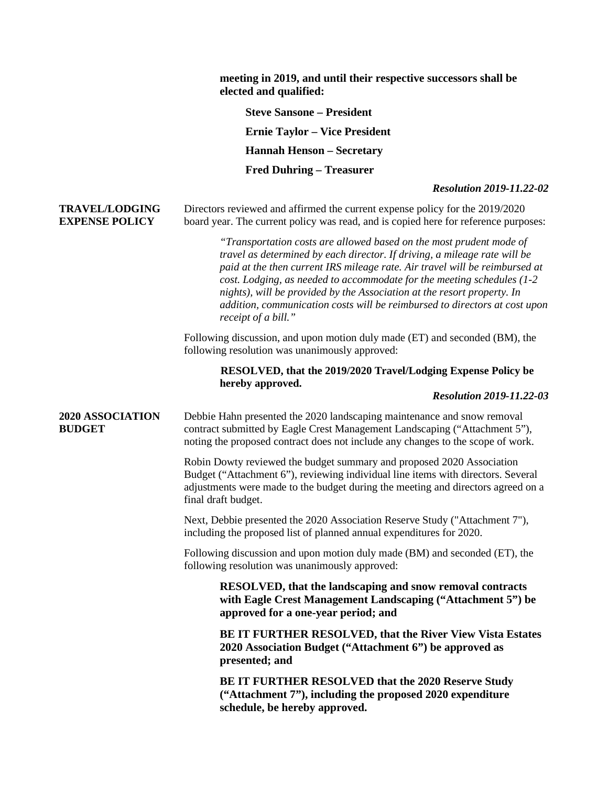|                                                | meeting in 2019, and until their respective successors shall be<br>elected and qualified:                                                                                                                                                                                                                                                                                                                                                                                                 |
|------------------------------------------------|-------------------------------------------------------------------------------------------------------------------------------------------------------------------------------------------------------------------------------------------------------------------------------------------------------------------------------------------------------------------------------------------------------------------------------------------------------------------------------------------|
|                                                | <b>Steve Sansone - President</b>                                                                                                                                                                                                                                                                                                                                                                                                                                                          |
|                                                | <b>Ernie Taylor – Vice President</b>                                                                                                                                                                                                                                                                                                                                                                                                                                                      |
|                                                | <b>Hannah Henson - Secretary</b>                                                                                                                                                                                                                                                                                                                                                                                                                                                          |
|                                                | <b>Fred Duhring – Treasurer</b>                                                                                                                                                                                                                                                                                                                                                                                                                                                           |
|                                                | <b>Resolution 2019-11.22-02</b>                                                                                                                                                                                                                                                                                                                                                                                                                                                           |
| <b>TRAVEL/LODGING</b><br><b>EXPENSE POLICY</b> | Directors reviewed and affirmed the current expense policy for the 2019/2020<br>board year. The current policy was read, and is copied here for reference purposes:                                                                                                                                                                                                                                                                                                                       |
|                                                | "Transportation costs are allowed based on the most prudent mode of<br>travel as determined by each director. If driving, a mileage rate will be<br>paid at the then current IRS mileage rate. Air travel will be reimbursed at<br>cost. Lodging, as needed to accommodate for the meeting schedules (1-2<br>nights), will be provided by the Association at the resort property. In<br>addition, communication costs will be reimbursed to directors at cost upon<br>receipt of a bill." |
|                                                | Following discussion, and upon motion duly made (ET) and seconded (BM), the<br>following resolution was unanimously approved:                                                                                                                                                                                                                                                                                                                                                             |
|                                                | RESOLVED, that the 2019/2020 Travel/Lodging Expense Policy be<br>hereby approved.<br><b>Resolution 2019-11.22-03</b>                                                                                                                                                                                                                                                                                                                                                                      |
| 2020 ASSOCIATION<br><b>BUDGET</b>              | Debbie Hahn presented the 2020 landscaping maintenance and snow removal<br>contract submitted by Eagle Crest Management Landscaping ("Attachment 5"),<br>noting the proposed contract does not include any changes to the scope of work.                                                                                                                                                                                                                                                  |
|                                                | Robin Dowty reviewed the budget summary and proposed 2020 Association<br>Budget ("Attachment 6"), reviewing individual line items with directors. Several<br>adjustments were made to the budget during the meeting and directors agreed on a<br>final draft budget.                                                                                                                                                                                                                      |
|                                                | Next, Debbie presented the 2020 Association Reserve Study ("Attachment 7"),<br>including the proposed list of planned annual expenditures for 2020.                                                                                                                                                                                                                                                                                                                                       |
|                                                | Following discussion and upon motion duly made (BM) and seconded (ET), the<br>following resolution was unanimously approved:                                                                                                                                                                                                                                                                                                                                                              |
|                                                | RESOLVED, that the landscaping and snow removal contracts<br>with Eagle Crest Management Landscaping ("Attachment 5") be<br>approved for a one-year period; and                                                                                                                                                                                                                                                                                                                           |
|                                                | BE IT FURTHER RESOLVED, that the River View Vista Estates<br>2020 Association Budget ("Attachment 6") be approved as<br>presented; and                                                                                                                                                                                                                                                                                                                                                    |
|                                                | <b>BE IT FURTHER RESOLVED that the 2020 Reserve Study</b><br>("Attachment 7"), including the proposed 2020 expenditure<br>schedule, be hereby approved.                                                                                                                                                                                                                                                                                                                                   |